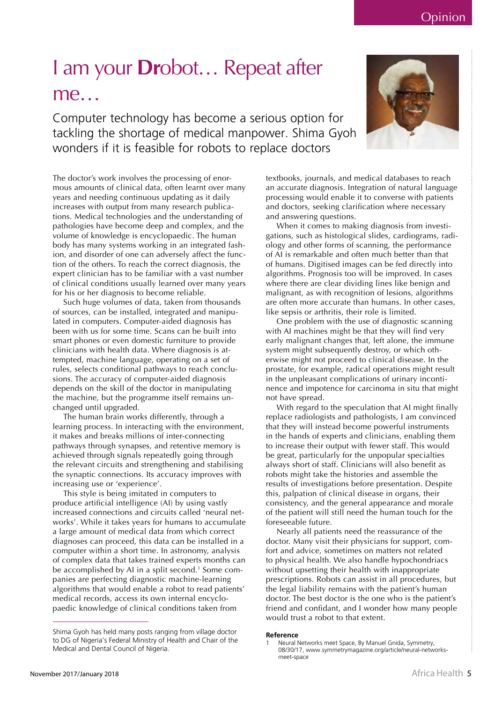November 2017/January 2018

## I am your **Dr**obot... Repeat after me...

Computer technology has become a serious option for tackling the shortage of medical manpower. Shima Gyoh wonders if it is feasible for robots to replace doctors

The doctor's work involves the processing of enormous amounts of clinical data, often learnt over many years and needing continuous updating as it daily increases with output from many research publications. Medical technologies and the understanding of pathologies have become deep and complex, and the volume of knowledge is encyclopaedic. The human body has many systems working in an integrated fashion, and disorder of one can adversely affect the function of the others. To reach the correct diagnosis, the expert clinician has to be familiar with a vast number of clinical conditions usually learned over many years for his or her diagnosis to become reliable.

Such huge volumes of data, taken from thousands of sources, can be installed, integrated and manipulated in computers. Computer-aided diagnosis has been with us for some time. Scans can be built into smart phones or even domestic furniture to provide clinicians with health data. Where diagnosis is attempted, machine language, operating on a set of rules, selects conditional pathways to reach conclusions. The accuracy of computer-aided diagnosis depends on the skill of the doctor in manipulating the machine, but the programme itself remains unchanged until upgraded.

The human brain works differently, through a learning process. In interacting with the environment, it makes and breaks millions of inter-connecting pathways through synapses, and retentive memory is achieved through signals repeatedly going through the relevant circuits and strengthening and stabilising the synaptic connections. Its accuracy improves with increasing use or 'experience'.

This style is being imitated in computers to produce artificial intelligence (AI) by using vastly increased connections and circuits called 'neural networks'. While it takes years for humans to accumulate a large amount of medical data from which correct diagnoses can proceed, this data can be installed in a computer within a short time. In astronomy, analysis of complex data that takes trained experts months can be accomplished by AI in a split second.<sup>1</sup> Some companies are perfecting diagnostic machine-learning algorithms that would enable a robot to read patients' medical records, access its own internal encyclopaedic knowledge of clinical conditions taken from

textbooks, journals, and medical databases to reach an accurate diagnosis. Integration of natural language processing would enable it to converse with patients and doctors, seeking clarification where necessary and answering questions.

When it comes to making diagnosis from investigations, such as histological slides, cardiograms, radiology and other forms of scanning, the performance of AI is remarkable and often much better than that of humans. Digitised images can be fed directly into algorithms. Prognosis too will be improved. In cases where there are clear dividing lines like benign and malignant, as with recognition of lesions, algorithms are often more accurate than humans. In other cases, like sepsis or arthritis, their role is limited.

One problem with the use of diagnostic scanning with AI machines might be that they will find very early malignant changes that, left alone, the immune system might subsequently destroy, or which otherwise might not proceed to clinical disease. In the prostate, for example, radical operations might result in the unpleasant complications of urinary incontinence and impotence for carcinoma in situ that might not have spread.

With regard to the speculation that AI might finally replace radiologists and pathologists, I am convinced that they will instead become powerful instruments in the hands of experts and clinicians, enabling them to increase their output with fewer staff. This would be great, particularly for the unpopular specialties always short of staff. Clinicians will also benefit as robots might take the histories and assemble the results of investigations before presentation. Despite this, palpation of clinical disease in organs, their consistency, and the general appearance and morale of the patient will still need the human touch for the foreseeable future.

Nearly all patients need the reassurance of the doctor. Many visit their physicians for support, comfort and advice, sometimes on matters not related to physical health. We also handle hypochondriacs without upsetting their health with inappropriate prescriptions. Robots can assist in all procedures, but the legal liability remains with the patient's human doctor. The best doctor is the one who is the patient's friend and confidant, and I wonder how many people would trust a robot to that extent.

## Reference



Shima Gyoh has held many posts ranging from village doctor to DG of Nigeria's Federal Ministry of Health and Chair of the Medical and Dental Council of Nigeria.

Neural Networks meet Space, By Manuel Gnida, Symmetry, 08/30/17, www.symmetrymagazine.org/article/neural-networksmeet-space